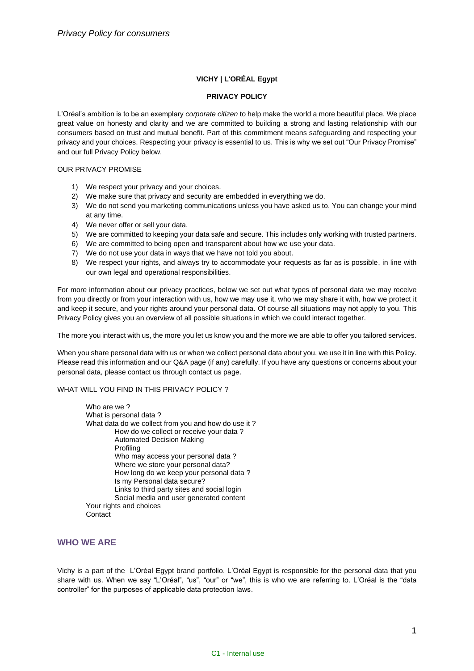# **VICHY | L'ORÉAL Egypt**

### **PRIVACY POLICY**

L'Oréal's ambition is to be an exemplary *corporate citizen* to help make the world a more beautiful place. We place great value on honesty and clarity and we are committed to building a strong and lasting relationship with our consumers based on trust and mutual benefit. Part of this commitment means safeguarding and respecting your privacy and your choices. Respecting your privacy is essential to us. This is why we set out "Our Privacy Promise" and our full Privacy Policy below.

### OUR PRIVACY PROMISE

- 1) We respect your privacy and your choices.
- 2) We make sure that privacy and security are embedded in everything we do.
- 3) We do not send you marketing communications unless you have asked us to. You can change your mind at any time.
- 4) We never offer or sell your data.
- 5) We are committed to keeping your data safe and secure. This includes only working with trusted partners.
- 6) We are committed to being open and transparent about how we use your data.
- 7) We do not use your data in ways that we have not told you about.
- 8) We respect your rights, and always try to accommodate your requests as far as is possible, in line with our own legal and operational responsibilities.

For more information about our privacy practices, below we set out what types of personal data we may receive from you directly or from your interaction with us, how we may use it, who we may share it with, how we protect it and keep it secure, and your rights around your personal data. Of course all situations may not apply to you. This Privacy Policy gives you an overview of all possible situations in which we could interact together.

The more you interact with us, the more you let us know you and the more we are able to offer you tailored services.

When you share personal data with us or when we collect personal data about you, we use it in line with this Policy. Please read this information and our Q&A page (if any) carefully. If you have any questions or concerns about your personal data, please contact us through contact us page.

#### WHAT WILL YOU FIND IN THIS PRIVACY POLICY?

Who are we? What is personal data ? What data do we collect from you and how do use it ? How do we collect or receive your data ? Automated Decision Making Profiling Who may access your personal data ? Where we store your personal data? How long do we keep your personal data ? Is my Personal data secure? Links to third party sites and social login Social media and user generated content Your rights and choices **Contact** 

# **WHO WE ARE**

Vichy is a part of the L'Oréal Egypt brand portfolio. L'Oréal Egypt is responsible for the personal data that you share with us. When we say "L'Oréal", "us", "our" or "we", this is who we are referring to. L'Oréal is the "data controller" for the purposes of applicable data protection laws.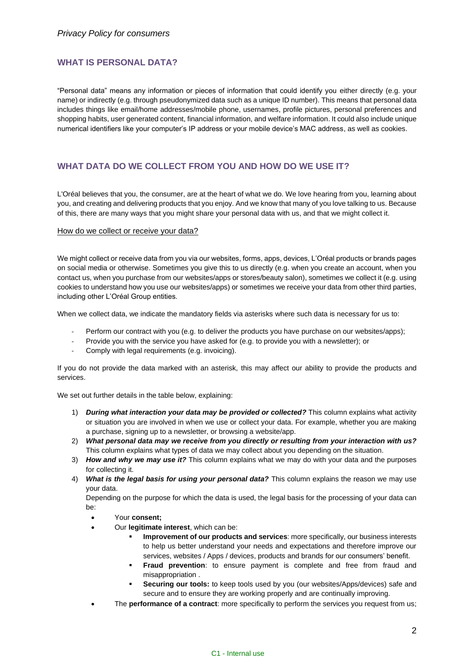# **WHAT IS PERSONAL DATA?**

"Personal data" means any information or pieces of information that could identify you either directly (e.g. your name) or indirectly (e.g. through pseudonymized data such as a unique ID number). This means that personal data includes things like email/home addresses/mobile phone, usernames, profile pictures, personal preferences and shopping habits, user generated content, financial information, and welfare information. It could also include unique numerical identifiers like your computer's IP address or your mobile device's MAC address, as well as cookies.

# **WHAT DATA DO WE COLLECT FROM YOU AND HOW DO WE USE IT?**

L'Oréal believes that you, the consumer, are at the heart of what we do. We love hearing from you, learning about you, and creating and delivering products that you enjoy. And we know that many of you love talking to us. Because of this, there are many ways that you might share your personal data with us, and that we might collect it.

#### How do we collect or receive your data?

We might collect or receive data from you via our websites, forms, apps, devices, L'Oréal products or brands pages on social media or otherwise. Sometimes you give this to us directly (e.g. when you create an account, when you contact us, when you purchase from our websites/apps or stores/beauty salon), sometimes we collect it (e.g. using cookies to understand how you use our websites/apps) or sometimes we receive your data from other third parties, including other L'Oréal Group entities.

When we collect data, we indicate the mandatory fields via asterisks where such data is necessary for us to:

- Perform our contract with you (e.g. to deliver the products you have purchase on our websites/apps);
- Provide you with the service you have asked for (e.g. to provide you with a newsletter); or
- Comply with legal requirements (e.g. invoicing).

If you do not provide the data marked with an asterisk, this may affect our ability to provide the products and services.

We set out further details in the table below, explaining:

- 1) *During what interaction your data may be provided or collected?* This column explains what activity or situation you are involved in when we use or collect your data. For example, whether you are making a purchase, signing up to a newsletter, or browsing a website/app.
- 2) *What personal data may we receive from you directly or resulting from your interaction with us?* This column explains what types of data we may collect about you depending on the situation.
- 3) *How and why we may use it?* This column explains what we may do with your data and the purposes for collecting it.
- 4) *What is the legal basis for using your personal data?* This column explains the reason we may use your data.

Depending on the purpose for which the data is used, the legal basis for the processing of your data can be:

- Your **consent;**
	- Our **legitimate interest**, which can be:
		- **Improvement of our products and services**: more specifically, our business interests to help us better understand your needs and expectations and therefore improve our services, websites / Apps / devices, products and brands for our consumers' benefit.
		- **Fraud prevention**: to ensure payment is complete and free from fraud and misappropriation .
		- **Securing our tools:** to keep tools used by you (our websites/Apps/devices) safe and secure and to ensure they are working properly and are continually improving.
- The **performance of a contract**: more specifically to perform the services you request from us;

#### C1 - Internal use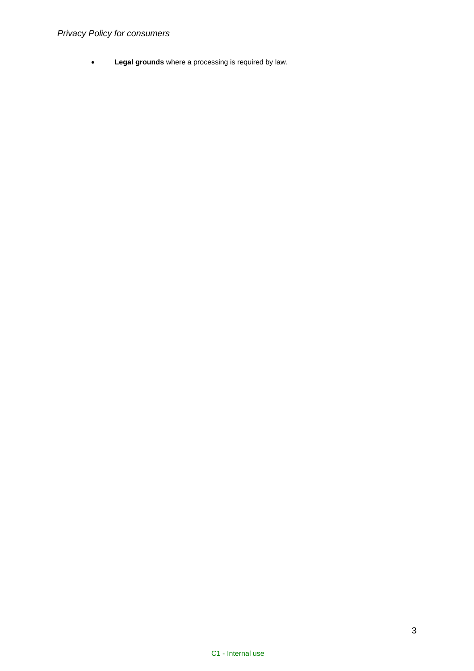# *Privacy Policy for consumers*

• **Legal grounds** where a processing is required by law.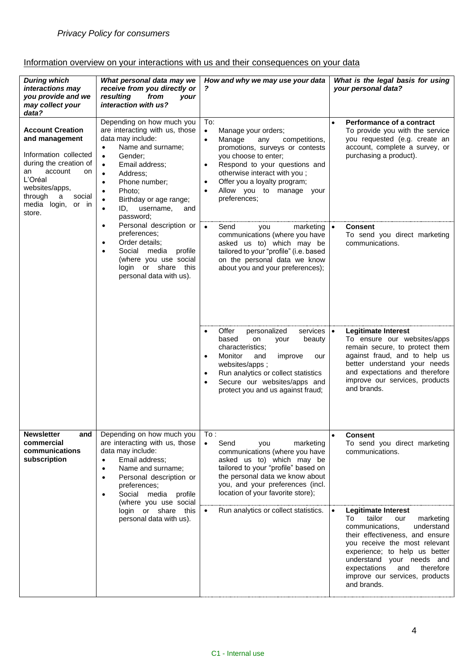# Information overview on your interactions with us and their consequences on your data

| <b>During which</b><br>interactions may<br>you provide and we<br>may collect your<br>data?                                                                                                                                                                                                                                                                                                            | What personal data may we<br>receive from you directly or<br>resulting<br>from<br><b>vour</b><br>interaction with us?                                                                                                                                                                                                               | How and why we may use your data<br>?                                                                                                                                                                                                                                                                                               | What is the legal basis for using<br>your personal data?                                                                                                                                                                                                     |
|-------------------------------------------------------------------------------------------------------------------------------------------------------------------------------------------------------------------------------------------------------------------------------------------------------------------------------------------------------------------------------------------------------|-------------------------------------------------------------------------------------------------------------------------------------------------------------------------------------------------------------------------------------------------------------------------------------------------------------------------------------|-------------------------------------------------------------------------------------------------------------------------------------------------------------------------------------------------------------------------------------------------------------------------------------------------------------------------------------|--------------------------------------------------------------------------------------------------------------------------------------------------------------------------------------------------------------------------------------------------------------|
| <b>Account Creation</b><br>and management<br>Information collected<br>during the creation of<br>account<br>an<br>on<br>L'Oréal<br>websites/apps,<br>through<br>social<br>a<br>media login,<br>or in<br>store.                                                                                                                                                                                         | Depending on how much you<br>are interacting with us, those<br>data may include:<br>Name and surname;<br>$\bullet$<br>Gender;<br>$\bullet$<br>Email address;<br>$\bullet$<br>Address:<br>$\bullet$<br>Phone number;<br>$\bullet$<br>Photo;<br>Birthday or age range;<br>$\bullet$<br>ID, username,<br>$\bullet$<br>and<br>password; | To:<br>Manage your orders;<br>$\bullet$<br>Manage<br>competitions,<br>any<br>$\bullet$<br>promotions, surveys or contests<br>you choose to enter;<br>Respond to your questions and<br>$\bullet$<br>otherwise interact with you;<br>Offer you a loyalty program;<br>$\bullet$<br>Allow you to manage your<br>preferences;            | Performance of a contract<br>$\bullet$<br>To provide you with the service<br>you requested (e.g. create an<br>account, complete a survey, or<br>purchasing a product).                                                                                       |
|                                                                                                                                                                                                                                                                                                                                                                                                       | Personal description or<br>$\bullet$<br>preferences;<br>Order details;<br>$\bullet$<br>Social media profile<br>$\bullet$<br>(where you use social<br>login or share this<br>personal data with us).                                                                                                                                 | Send<br>marketing $  \bullet  $<br>you<br>communications (where you have<br>asked us to) which may be<br>tailored to your "profile" (i.e. based<br>on the personal data we know<br>about you and your preferences);                                                                                                                 | <b>Consent</b><br>To send you direct marketing<br>communications.                                                                                                                                                                                            |
|                                                                                                                                                                                                                                                                                                                                                                                                       |                                                                                                                                                                                                                                                                                                                                     | Offer<br>personalized<br>services<br>based<br>on<br>beauty<br>your<br>characteristics;<br>Monitor<br>improve<br>and<br>our<br>$\bullet$<br>websites/apps;<br>Run analytics or collect statistics<br>Secure our websites/apps and<br>protect you and us against fraud;                                                               | <b>Legitimate Interest</b><br>$\bullet$<br>To ensure our websites/apps<br>remain secure, to protect them<br>against fraud, and to help us<br>better understand your needs<br>and expectations and therefore<br>improve our services, products<br>and brands. |
| <b>Newsletter</b><br>Depending on how much you<br>and<br>are interacting with us, those<br>commercial<br>data may include:<br>communications<br>subscription<br>Email address;<br>$\bullet$<br>Name and surname;<br>$\bullet$<br>Personal description or<br>$\bullet$<br>preferences;<br>Social media profile<br>$\bullet$<br>(where you use social<br>login or share this<br>personal data with us). | To:<br>Send<br>$\bullet$<br>marketing<br>you<br>communications (where you have<br>asked us to) which may be<br>tailored to your "profile" based on<br>the personal data we know about<br>you, and your preferences (incl.<br>location of your favorite store);                                                                      | <b>Consent</b><br>$\bullet$<br>To send you direct marketing<br>communications.                                                                                                                                                                                                                                                      |                                                                                                                                                                                                                                                              |
|                                                                                                                                                                                                                                                                                                                                                                                                       | Run analytics or collect statistics.<br>$\bullet$                                                                                                                                                                                                                                                                                   | $\bullet$<br><b>Legitimate Interest</b><br>tailor<br>To<br>our<br>marketing<br>communications,<br>understand<br>their effectiveness, and ensure<br>you receive the most relevant<br>experience; to help us better<br>understand your needs and<br>and<br>therefore<br>expectations<br>improve our services, products<br>and brands. |                                                                                                                                                                                                                                                              |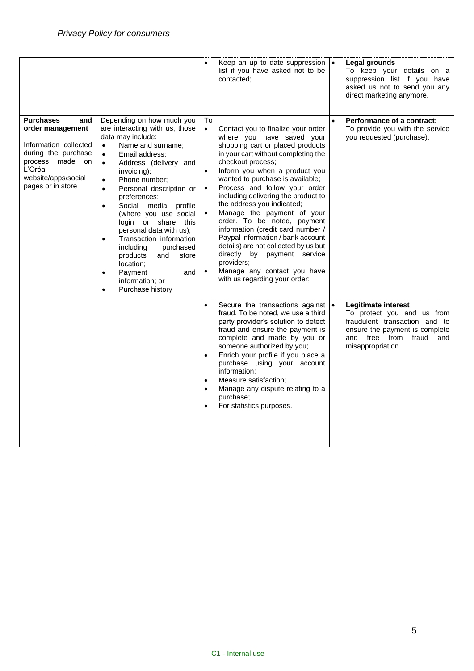|                                                                                                                                                                             |                                                                                                                                                                                                                                                                                                                                                                                                                                                                                                                                                                                               |                                           | Keep an up to date suppression $\cdot$<br>list if you have asked not to be<br>contacted;                                                                                                                                                                                                                                                                                                                                                                                                                                                                                                                                               | Legal grounds<br>To keep your details on a<br>suppression list if you have<br>asked us not to send you any<br>direct marketing anymore.                                    |
|-----------------------------------------------------------------------------------------------------------------------------------------------------------------------------|-----------------------------------------------------------------------------------------------------------------------------------------------------------------------------------------------------------------------------------------------------------------------------------------------------------------------------------------------------------------------------------------------------------------------------------------------------------------------------------------------------------------------------------------------------------------------------------------------|-------------------------------------------|----------------------------------------------------------------------------------------------------------------------------------------------------------------------------------------------------------------------------------------------------------------------------------------------------------------------------------------------------------------------------------------------------------------------------------------------------------------------------------------------------------------------------------------------------------------------------------------------------------------------------------------|----------------------------------------------------------------------------------------------------------------------------------------------------------------------------|
| <b>Purchases</b><br>and<br>order management<br>Information collected<br>during the purchase<br>process<br>made<br>on<br>L'Oréal<br>website/apps/social<br>pages or in store | Depending on how much you<br>are interacting with us, those<br>data may include:<br>Name and surname;<br>$\bullet$<br>Email address:<br>$\bullet$<br>Address (delivery and<br>$\bullet$<br>invoicing);<br>Phone number;<br>$\bullet$<br>Personal description or<br>$\bullet$<br>preferences;<br>Social media profile<br>$\bullet$<br>(where you use social<br>login or share this<br>personal data with us);<br>Transaction information<br>including<br>purchased<br>products<br>and<br>store<br>location;<br>Payment<br>and<br>$\bullet$<br>information; or<br>Purchase history<br>$\bullet$ | To<br>$\bullet$<br>$\bullet$<br>$\bullet$ | Contact you to finalize your order<br>where you have saved your<br>shopping cart or placed products<br>in your cart without completing the<br>checkout process;<br>Inform you when a product you<br>wanted to purchase is available;<br>Process and follow your order<br>including delivering the product to<br>the address you indicated;<br>Manage the payment of your<br>order. To be noted, payment<br>information (credit card number /<br>Paypal information / bank account<br>details) are not collected by us but<br>directly by payment service<br>providers;<br>Manage any contact you have<br>with us regarding your order; | Performance of a contract:<br>To provide you with the service<br>you requested (purchase).                                                                                 |
|                                                                                                                                                                             |                                                                                                                                                                                                                                                                                                                                                                                                                                                                                                                                                                                               | $\bullet$<br>$\bullet$                    | Secure the transactions against  .<br>fraud. To be noted, we use a third<br>party provider's solution to detect<br>fraud and ensure the payment is<br>complete and made by you or<br>someone authorized by you;<br>Enrich your profile if you place a<br>purchase using your account<br>information;<br>Measure satisfaction;<br>Manage any dispute relating to a<br>purchase;<br>For statistics purposes.                                                                                                                                                                                                                             | Legitimate interest<br>To protect you and us from<br>fraudulent transaction and to<br>ensure the payment is complete<br>and free from<br>fraud<br>and<br>misappropriation. |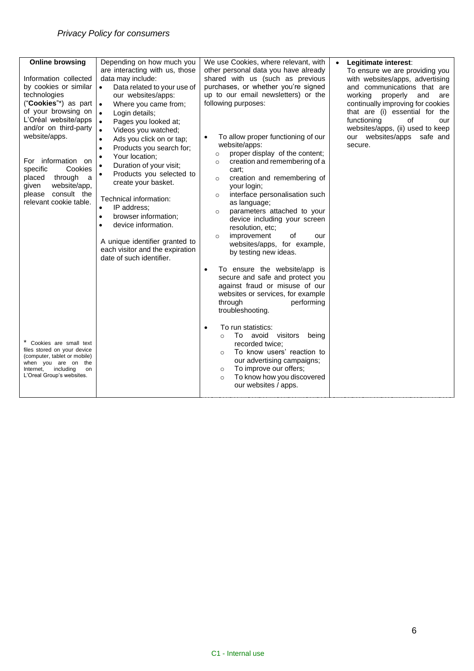| <b>Online browsing</b>                                                                                                                                                                                                                                                                                                             | Depending on how much you                                                                                                                                                                                                                                                                                                                                                                                                                                                                                                                                                                                                             | We use Cookies, where relevant, with                                                                                                                                                                                                                                                                                                                                                                                                                                                                                                                                                                                                                      | Legitimate interest:<br>$\bullet$                                                                                                                                                                                                                                                                                        |
|------------------------------------------------------------------------------------------------------------------------------------------------------------------------------------------------------------------------------------------------------------------------------------------------------------------------------------|---------------------------------------------------------------------------------------------------------------------------------------------------------------------------------------------------------------------------------------------------------------------------------------------------------------------------------------------------------------------------------------------------------------------------------------------------------------------------------------------------------------------------------------------------------------------------------------------------------------------------------------|-----------------------------------------------------------------------------------------------------------------------------------------------------------------------------------------------------------------------------------------------------------------------------------------------------------------------------------------------------------------------------------------------------------------------------------------------------------------------------------------------------------------------------------------------------------------------------------------------------------------------------------------------------------|--------------------------------------------------------------------------------------------------------------------------------------------------------------------------------------------------------------------------------------------------------------------------------------------------------------------------|
| Information collected<br>by cookies or similar<br>technologies<br>("Cookies"*) as part<br>of your browsing on<br>L'Oréal website/apps<br>and/or on third-party<br>website/apps.<br>For information on<br>Cookies<br>specific<br>placed<br>through<br>a<br>website/app,<br>given<br>consult the<br>please<br>relevant cookie table. | are interacting with us, those<br>data may include:<br>$\bullet$<br>Data related to your use of<br>our websites/apps:<br>Where you came from;<br>$\bullet$<br>Login details;<br>$\bullet$<br>Pages you looked at;<br>$\bullet$<br>Videos you watched;<br>Ads you click on or tap;<br>Products you search for;<br>٠<br>Your location;<br>Duration of your visit;<br>Products you selected to<br>create your basket.<br>Technical information:<br>IP address;<br>$\bullet$<br>browser information;<br>$\bullet$<br>device information.<br>A unique identifier granted to<br>each visitor and the expiration<br>date of such identifier. | other personal data you have already<br>shared with us (such as previous<br>purchases, or whether you're signed<br>up to our email newsletters) or the<br>following purposes:<br>To allow proper functioning of our<br>website/apps:<br>proper display of the content;<br>$\circ$<br>creation and remembering of a<br>$\circ$<br>cart:<br>creation and remembering of<br>$\circ$<br>your login;<br>interface personalisation such<br>$\circ$<br>as language;<br>parameters attached to your<br>$\circ$<br>device including your screen<br>resolution, etc;<br>improvement<br>of<br>our<br>$\circ$<br>websites/apps, for example,<br>by testing new ideas. | To ensure we are providing you<br>with websites/apps, advertising<br>and communications that are<br>working<br>properly<br>and<br>are<br>continually improving for cookies<br>that are (i) essential for the<br>functioning<br>of<br>our<br>websites/apps, (ii) used to keep<br>our websites/apps<br>safe and<br>secure. |
| Cookies are small text<br>files stored on your device<br>(computer, tablet or mobile)<br>when you are on the<br>Internet,<br>including<br>on<br>L'Oreal Group's websites.                                                                                                                                                          |                                                                                                                                                                                                                                                                                                                                                                                                                                                                                                                                                                                                                                       | To ensure the website/app is<br>$\bullet$<br>secure and safe and protect you<br>against fraud or misuse of our<br>websites or services, for example<br>through<br>performing<br>troubleshooting.<br>To run statistics:<br>$\bullet$<br>To avoid<br>visitors<br>being<br>$\Omega$<br>recorded twice:<br>To know users' reaction to<br>$\circ$<br>our advertising campaigns;<br>To improve our offers;<br>$\circ$<br>To know how you discovered<br>$\circ$<br>our websites / apps.                                                                                                                                                                          |                                                                                                                                                                                                                                                                                                                          |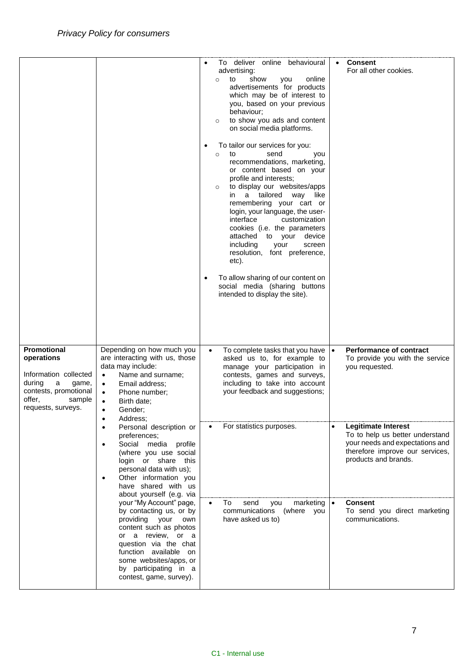|                                                                                                                                               |                                                                                                                                                                                                                                                               | To deliver online behavioural<br>advertising:<br>show<br>online<br>to<br>you<br>$\circ$<br>advertisements for products<br>which may be of interest to<br>you, based on your previous<br>behaviour;<br>to show you ads and content<br>$\circ$<br>on social media platforms.<br>To tailor our services for you:<br>to<br>send<br>$\circ$<br>you<br>recommendations, marketing,<br>or content based on your<br>profile and interests;<br>to display our websites/apps<br>$\circ$<br>in a tailored way like<br>remembering your cart or<br>login, your language, the user-<br>interface<br>customization<br>cookies (i.e. the parameters<br>attached to your<br>device<br>including<br>your<br>screen<br>resolution, font preference,<br>etc).<br>To allow sharing of our content on<br>social media (sharing buttons<br>intended to display the site). | <b>Consent</b><br>For all other cookies.                                                                                                                                 |
|-----------------------------------------------------------------------------------------------------------------------------------------------|---------------------------------------------------------------------------------------------------------------------------------------------------------------------------------------------------------------------------------------------------------------|-----------------------------------------------------------------------------------------------------------------------------------------------------------------------------------------------------------------------------------------------------------------------------------------------------------------------------------------------------------------------------------------------------------------------------------------------------------------------------------------------------------------------------------------------------------------------------------------------------------------------------------------------------------------------------------------------------------------------------------------------------------------------------------------------------------------------------------------------------|--------------------------------------------------------------------------------------------------------------------------------------------------------------------------|
| Promotional<br>operations<br>Information collected<br>during<br>a<br>game,<br>contests, promotional<br>offer,<br>sample<br>requests, surveys. | Depending on how much you<br>are interacting with us, those<br>data may include:<br>Name and surname;<br>$\bullet$<br>Email address;<br>$\bullet$<br>Phone number;<br>$\bullet$<br>Birth date:<br>$\bullet$<br>Gender;<br>Address;<br>$\bullet$               | To complete tasks that you have<br>$\bullet$<br>asked us to, for example to<br>manage your participation in<br>contests, games and surveys,<br>including to take into account<br>your feedback and suggestions;                                                                                                                                                                                                                                                                                                                                                                                                                                                                                                                                                                                                                                     | <b>Performance of contract</b><br>$\bullet$<br>To provide you with the service<br>you requested.                                                                         |
|                                                                                                                                               | Personal description or<br>$\bullet$<br>preferences;<br>Social media profile<br>$\bullet$<br>(where you use social<br>login or share this<br>personal data with us);<br>Other information you<br>$\bullet$<br>have shared with us<br>about yourself (e.g. via | For statistics purposes.                                                                                                                                                                                                                                                                                                                                                                                                                                                                                                                                                                                                                                                                                                                                                                                                                            | <b>Legitimate Interest</b><br>$\bullet$<br>To to help us better understand<br>your needs and expectations and<br>therefore improve our services,<br>products and brands. |
|                                                                                                                                               | your "My Account" page,<br>by contacting us, or by<br>providing your<br>own<br>content such as photos<br>or a review, or a<br>question via the chat<br>function available on<br>some websites/apps, or<br>by participating in a<br>contest, game, survey).    | To<br>send<br>you<br>marketing<br>communications (where you<br>have asked us to)                                                                                                                                                                                                                                                                                                                                                                                                                                                                                                                                                                                                                                                                                                                                                                    | <b>Consent</b><br>$\bullet$<br>To send you direct marketing<br>communications.                                                                                           |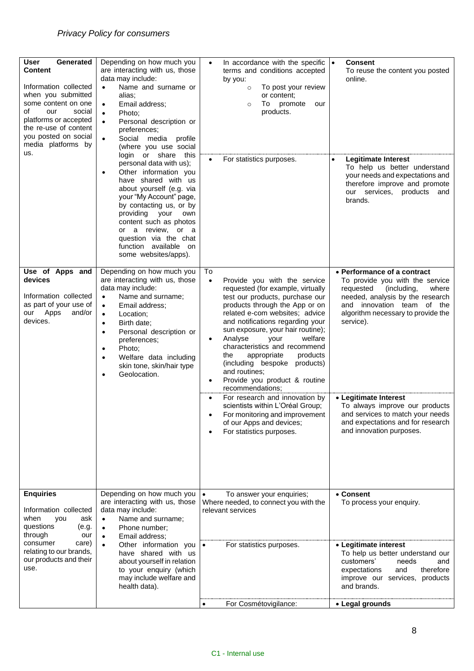| <b>User</b><br>Generated<br><b>Content</b><br>Information collected<br>when you submitted<br>some content on one<br>οf<br>our<br>social<br>platforms or accepted<br>the re-use of content<br>you posted on social<br>media platforms by<br>us. | Depending on how much you<br>are interacting with us, those<br>data may include:<br>Name and surname or<br>alias:<br>Email address;<br>$\bullet$<br>Photo;<br>$\bullet$<br>Personal description or<br>$\bullet$<br>preferences;<br>Social media profile<br>$\bullet$<br>(where you use social<br>login or share this                                                       | In accordance with the specific $\cdot$<br>$\bullet$<br>terms and conditions accepted<br>by you:<br>To post your review<br>$\circ$<br>or content:<br>To<br>promote<br>our<br>$\circ$<br>products.                                                                                                                                                                                                                                                                                             | <b>Consent</b><br>To reuse the content you posted<br>online.                                                                                                                                                             |
|------------------------------------------------------------------------------------------------------------------------------------------------------------------------------------------------------------------------------------------------|----------------------------------------------------------------------------------------------------------------------------------------------------------------------------------------------------------------------------------------------------------------------------------------------------------------------------------------------------------------------------|-----------------------------------------------------------------------------------------------------------------------------------------------------------------------------------------------------------------------------------------------------------------------------------------------------------------------------------------------------------------------------------------------------------------------------------------------------------------------------------------------|--------------------------------------------------------------------------------------------------------------------------------------------------------------------------------------------------------------------------|
|                                                                                                                                                                                                                                                | personal data with us);<br>Other information you<br>$\bullet$<br>have shared with us<br>about yourself (e.g. via<br>your "My Account" page,<br>by contacting us, or by<br>providing your<br>own<br>content such as photos<br>or a review, or a<br>question via the chat<br>function available on<br>some websites/apps).                                                   | For statistics purposes.                                                                                                                                                                                                                                                                                                                                                                                                                                                                      | <b>Legitimate Interest</b><br>To help us better understand<br>your needs and expectations and<br>therefore improve and promote<br>our services,<br>products<br>and<br>brands.                                            |
| Use of Apps and<br>devices<br>Information collected<br>as part of your use of<br>Apps<br>our<br>and/or<br>devices.                                                                                                                             | Depending on how much you<br>are interacting with us, those<br>data may include:<br>Name and surname;<br>$\bullet$<br>Email address;<br>$\bullet$<br>Location;<br>$\bullet$<br>Birth date;<br>$\bullet$<br>Personal description or<br>$\bullet$<br>preferences;<br>Photo;<br>$\bullet$<br>Welfare data including<br>$\bullet$<br>skin tone, skin/hair type<br>Geolocation. | To<br>Provide you with the service<br>$\bullet$<br>requested (for example, virtually<br>test our products, purchase our<br>products through the App or on<br>related e-com websites; advice<br>and notifications regarding your<br>sun exposure, your hair routine);<br>Analyse<br>welfare<br>your<br>$\bullet$<br>characteristics and recommend<br>the<br>appropriate<br>products<br>(including bespoke products)<br>and routines;<br>Provide you product & routine<br>٠<br>recommendations; | • Performance of a contract<br>To provide you with the service<br>requested<br>(including,<br>where<br>needed, analysis by the research<br>and innovation team of the<br>algorithm necessary to provide the<br>service). |
|                                                                                                                                                                                                                                                |                                                                                                                                                                                                                                                                                                                                                                            | For research and innovation by<br>scientists within L'Oréal Group;<br>For monitoring and improvement<br>of our Apps and devices;<br>For statistics purposes.                                                                                                                                                                                                                                                                                                                                  | • Legitimate Interest<br>To always improve our products<br>and services to match your needs<br>and expectations and for research<br>and innovation purposes.                                                             |
| <b>Enquiries</b><br>Information collected<br>when<br>you<br>ask<br>questions<br>(e.g.<br>through<br>our                                                                                                                                        | Depending on how much you<br>are interacting with us, those<br>data may include:<br>Name and surname;<br>$\bullet$<br>Phone number;<br>$\bullet$<br>Email address;<br>$\bullet$                                                                                                                                                                                            | To answer your enquiries;<br>Where needed, to connect you with the<br>relevant services                                                                                                                                                                                                                                                                                                                                                                                                       | • Consent<br>To process your enquiry.                                                                                                                                                                                    |
| consumer<br>care)<br>relating to our brands,<br>our products and their<br>use.                                                                                                                                                                 | Other information you<br>$\bullet$<br>have shared with us<br>about yourself in relation<br>to your enquiry (which<br>may include welfare and<br>health data).                                                                                                                                                                                                              | For statistics purposes.                                                                                                                                                                                                                                                                                                                                                                                                                                                                      | • Legitimate interest<br>To help us better understand our<br>customers'<br>needs<br>and<br>expectations<br>and<br>therefore<br>improve our services, products<br>and brands.                                             |
|                                                                                                                                                                                                                                                |                                                                                                                                                                                                                                                                                                                                                                            | For Cosmétovigilance:                                                                                                                                                                                                                                                                                                                                                                                                                                                                         | • Legal grounds                                                                                                                                                                                                          |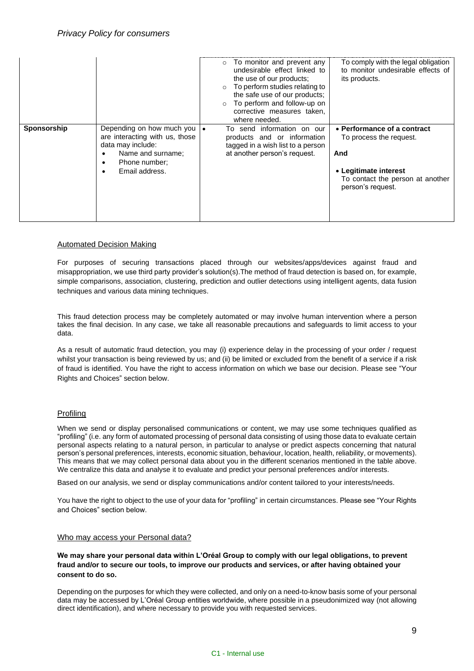|             |                                                                                                                                                   | $\circ$ To monitor and prevent any<br>undesirable effect linked to<br>the use of our products;<br>To perform studies relating to<br>the safe use of our products;<br>To perform and follow-up on<br>corrective measures taken,<br>where needed. | To comply with the legal obligation<br>to monitor undesirable effects of<br>its products.                                                       |
|-------------|---------------------------------------------------------------------------------------------------------------------------------------------------|-------------------------------------------------------------------------------------------------------------------------------------------------------------------------------------------------------------------------------------------------|-------------------------------------------------------------------------------------------------------------------------------------------------|
| Sponsorship | Depending on how much you   •<br>are interacting with us, those<br>data may include:<br>Name and surname:<br>Phone number:<br>٠<br>Email address. | To send information on our<br>products and or information<br>tagged in a wish list to a person<br>at another person's request.                                                                                                                  | • Performance of a contract<br>To process the request.<br>And<br>• Legitimate interest<br>To contact the person at another<br>person's request. |

# Automated Decision Making

For purposes of securing transactions placed through our websites/apps/devices against fraud and misappropriation, we use third party provider's solution(s).The method of fraud detection is based on, for example, simple comparisons, association, clustering, prediction and outlier detections using intelligent agents, data fusion techniques and various data mining techniques.

This fraud detection process may be completely automated or may involve human intervention where a person takes the final decision. In any case, we take all reasonable precautions and safeguards to limit access to your data.

As a result of automatic fraud detection, you may (i) experience delay in the processing of your order / request whilst your transaction is being reviewed by us; and (ii) be limited or excluded from the benefit of a service if a risk of fraud is identified. You have the right to access information on which we base our decision. Please see "Your Rights and Choices" section below.

## Profiling

When we send or display personalised communications or content, we may use some techniques qualified as "profiling" (i.e. any form of automated processing of personal data consisting of using those data to evaluate certain personal aspects relating to a natural person, in particular to analyse or predict aspects concerning that natural person's personal preferences, interests, economic situation, behaviour, location, health, reliability, or movements). This means that we may collect personal data about you in the different scenarios mentioned in the table above. We centralize this data and analyse it to evaluate and predict your personal preferences and/or interests.

Based on our analysis, we send or display communications and/or content tailored to your interests/needs.

You have the right to object to the use of your data for "profiling" in certain circumstances. Please see "Your Rights and Choices" section below.

#### Who may access your Personal data?

**We may share your personal data within L'Oréal Group to comply with our legal obligations, to prevent fraud and/or to secure our tools, to improve our products and services, or after having obtained your consent to do so.**

Depending on the purposes for which they were collected, and only on a need-to-know basis some of your personal data may be accessed by L'Oréal Group entities worldwide, where possible in a pseudonimized way (not allowing direct identification), and where necessary to provide you with requested services.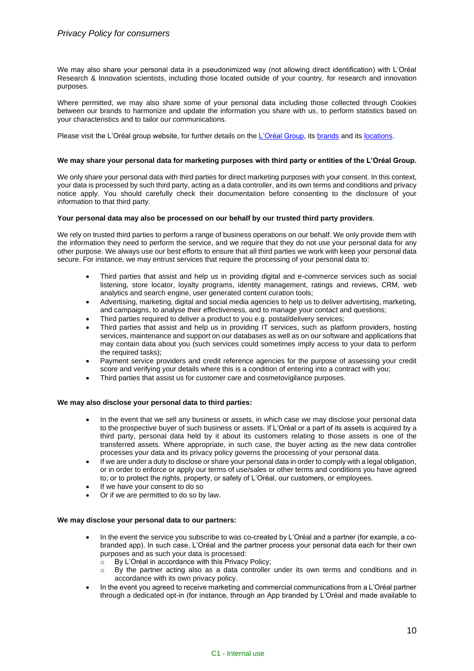We may also share your personal data in a pseudonimized way (not allowing direct identification) with L'Oréal Research & Innovation scientists, including those located outside of your country, for research and innovation purposes.

Where permitted, we may also share some of your personal data including those collected through Cookies between our brands to harmonize and update the information you share with us, to perform statistics based on your characteristics and to tailor our communications.

Please visit the L'Oréal group website, for further details on the [L'Oréal Group,](http://www.loreal.com/group) its [brands](http://www.loreal.com/brand) and its [locations.](http://www.loreal.com/group/our-activities/l%E2%80%99or%C3%A9al-around-the-world)

### **We may share your personal data for marketing purposes with third party or entities of the L'Oréal Group.**

We only share your personal data with third parties for direct marketing purposes with your consent. In this context, your data is processed by such third party, acting as a data controller, and its own terms and conditions and privacy notice apply. You should carefully check their documentation before consenting to the disclosure of your information to that third party.

#### **Your personal data may also be processed on our behalf by our trusted third party providers**.

We rely on trusted third parties to perform a range of business operations on our behalf. We only provide them with the information they need to perform the service, and we require that they do not use your personal data for any other purpose. We always use our best efforts to ensure that all third parties we work with keep your personal data secure. For instance, we may entrust services that require the processing of your personal data to:

- Third parties that assist and help us in providing digital and e-commerce services such as social listening, store locator, loyalty programs, identity management, ratings and reviews, CRM, web analytics and search engine, user generated content curation tools;
- Advertising, marketing, digital and social media agencies to help us to deliver advertising, marketing, and campaigns, to analyse their effectiveness, and to manage your contact and questions;
- Third parties required to deliver a product to you e.g. postal/delivery services;
- Third parties that assist and help us in providing IT services, such as platform providers, hosting services, maintenance and support on our databases as well as on our software and applications that may contain data about you (such services could sometimes imply access to your data to perform the required tasks);
- Payment service providers and credit reference agencies for the purpose of assessing your credit score and verifying your details where this is a condition of entering into a contract with you;
- Third parties that assist us for customer care and cosmetovigilance purposes.

## **We may also disclose your personal data to third parties:**

- In the event that we sell any business or assets, in which case we may disclose your personal data to the prospective buyer of such business or assets. If L'Oréal or a part of its assets is acquired by a third party, personal data held by it about its customers relating to those assets is one of the transferred assets. Where appropriate, in such case, the buyer acting as the new data controller processes your data and its privacy policy governs the processing of your personal data.
- If we are under a duty to disclose or share your personal data in order to comply with a legal obligation, or in order to enforce or apply our terms of use/sales or other terms and conditions you have agreed to; or to protect the rights, property, or safety of L'Oréal, our customers, or employees.
- If we have your consent to do so
- Or if we are permitted to do so by law.

#### **We may disclose your personal data to our partners:**

- In the event the service you subscribe to was co-created by L'Oréal and a partner (for example, a cobranded app). In such case, L'Oréal and the partner process your personal data each for their own purposes and as such your data is processed:
	- By L'Oréal in accordance with this Privacy Policy;
	- By the partner acting also as a data controller under its own terms and conditions and in accordance with its own privacy policy.
- In the event you agreed to receive marketing and commercial communications from a L'Oréal partner through a dedicated opt-in (for instance, through an App branded by L'Oréal and made available to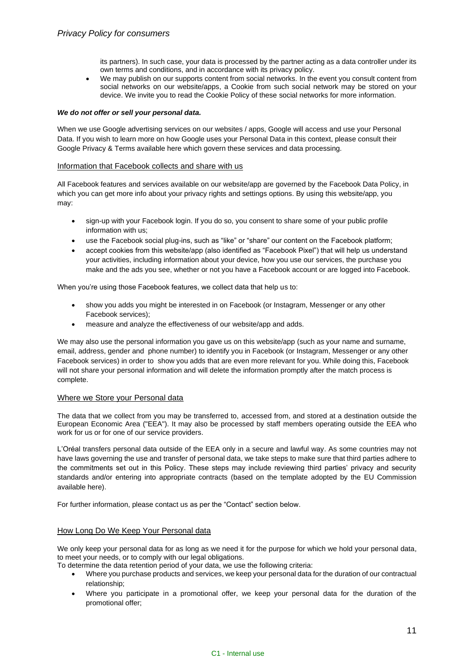its partners). In such case, your data is processed by the partner acting as a data controller under its own terms and conditions, and in accordance with its privacy policy.

We may publish on our supports content from social networks. In the event you consult content from social networks on our website/apps, a Cookie from such social network may be stored on your device. We invite you to read the Cookie Policy of these social networks for more information.

#### *We do not offer or sell your personal data.*

When we use Google advertising services on our websites / apps, Google will access and use your Personal Data. If you wish to learn more on how Google uses your Personal Data in this context, please consult their Google Privacy & Terms available here which govern these services and data processing.

#### Information that Facebook collects and share with us

All Facebook features and services available on our website/app are governed by th[e Facebook Data Policy,](https://www.facebook.com/full_data_use_policy) in which you can get more info about your privacy rights and settings options. By using this website/app, you may:

- sign-up with your Facebook login. If you do so, you consent to share some of your public profile information with us;
- use the Facebook social plug-ins, such as "like" or "share" our content on the Facebook platform;
- accept cookies from this website/app (also identified as "Facebook Pixel") that will help us understand your activities, including information about your device, how you use our services, the purchase you make and the ads you see, whether or not you have a Facebook account or are logged into Facebook.

When you're using those Facebook features, we collect data that help us to:

- show you adds you might be interested in on Facebook (or Instagram, Messenger or any other Facebook services);
- measure and analyze the effectiveness of our website/app and adds.

We may also use the personal information you gave us on this website/app (such as your name and surname, email, address, gender and phone number) to identify you in Facebook (or Instagram, Messenger or any other Facebook services) in order to show you adds that are even more relevant for you. While doing this, Facebook will not share your personal information and will delete the information promptly after the match process is complete.

## Where we Store your Personal data

The data that we collect from you may be transferred to, accessed from, and stored at a destination outside the European Economic Area ("EEA"). It may also be processed by staff members operating outside the EEA who work for us or for one of our service providers.

L'Oréal transfers personal data outside of the EEA only in a secure and lawful way. As some countries may not have laws governing the use and transfer of personal data, we take steps to make sure that third parties adhere to the commitments set out in this Policy. These steps may include reviewing third parties' privacy and security standards and/or entering into appropriate contracts (based on the template adopted by the EU Commission available here).

For further information, please contact us as per the "Contact" section below.

## How Long Do We Keep Your Personal data

We only keep your personal data for as long as we need it for the purpose for which we hold your personal data, to meet your needs, or to comply with our legal obligations.

To determine the data retention period of your data, we use the following criteria:

- Where you purchase products and services, we keep your personal data for the duration of our contractual relationship;
- Where you participate in a promotional offer, we keep your personal data for the duration of the promotional offer;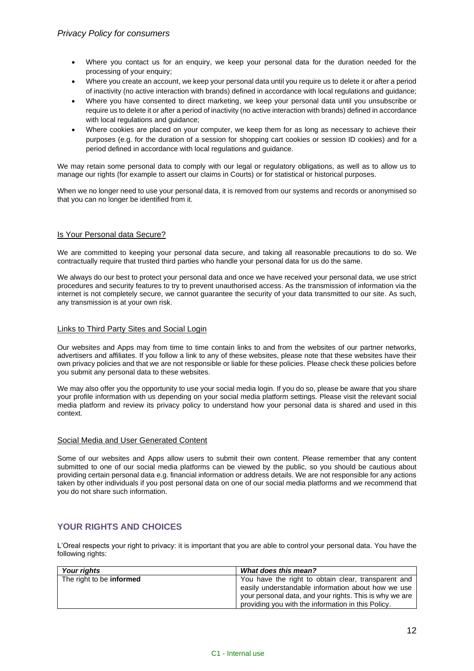- Where you contact us for an enquiry, we keep your personal data for the duration needed for the processing of your enquiry;
- Where you create an account, we keep your personal data until you require us to delete it or after a period of inactivity (no active interaction with brands) defined in accordance with local regulations and guidance;
- Where you have consented to direct marketing, we keep your personal data until you unsubscribe or require us to delete it or after a period of inactivity (no active interaction with brands) defined in accordance with local regulations and guidance;
- Where cookies are placed on your computer, we keep them for as long as necessary to achieve their purposes (e.g. for the duration of a session for shopping cart cookies or session ID cookies) and for a period defined in accordance with local regulations and guidance.

We may retain some personal data to comply with our legal or regulatory obligations, as well as to allow us to manage our rights (for example to assert our claims in Courts) or for statistical or historical purposes.

When we no longer need to use your personal data, it is removed from our systems and records or anonymised so that you can no longer be identified from it.

# Is Your Personal data Secure?

We are committed to keeping your personal data secure, and taking all reasonable precautions to do so. We contractually require that trusted third parties who handle your personal data for us do the same.

We always do our best to protect your personal data and once we have received your personal data, we use strict procedures and security features to try to prevent unauthorised access. As the transmission of information via the internet is not completely secure, we cannot guarantee the security of your data transmitted to our site. As such, any transmission is at your own risk.

## Links to Third Party Sites and Social Login

Our websites and Apps may from time to time contain links to and from the websites of our partner networks, advertisers and affiliates. If you follow a link to any of these websites, please note that these websites have their own privacy policies and that we are not responsible or liable for these policies. Please check these policies before you submit any personal data to these websites.

We may also offer you the opportunity to use your social media login. If you do so, please be aware that you share your profile information with us depending on your social media platform settings. Please visit the relevant social media platform and review its privacy policy to understand how your personal data is shared and used in this context.

# Social Media and User Generated Content

Some of our websites and Apps allow users to submit their own content. Please remember that any content submitted to one of our social media platforms can be viewed by the public, so you should be cautious about providing certain personal data e.g. financial information or address details. We are not responsible for any actions taken by other individuals if you post personal data on one of our social media platforms and we recommend that you do not share such information.

# **YOUR RIGHTS AND CHOICES**

L'Oreal respects your right to privacy: it is important that you are able to control your personal data. You have the following rights:

| Your rights                     | <b>What does this mean?</b>                             |
|---------------------------------|---------------------------------------------------------|
| The right to be <b>informed</b> | You have the right to obtain clear, transparent and     |
|                                 | easily understandable information about how we use      |
|                                 | your personal data, and your rights. This is why we are |
|                                 | providing you with the information in this Policy.      |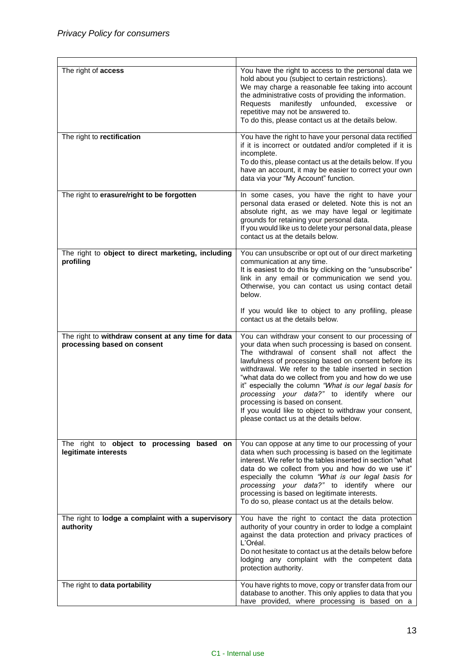| The right of access                                                               | You have the right to access to the personal data we<br>hold about you (subject to certain restrictions).<br>We may charge a reasonable fee taking into account<br>the administrative costs of providing the information.<br>Requests manifestly unfounded, excessive<br>or<br>repetitive may not be answered to.<br>To do this, please contact us at the details below.                                                                                                                                                                                                             |
|-----------------------------------------------------------------------------------|--------------------------------------------------------------------------------------------------------------------------------------------------------------------------------------------------------------------------------------------------------------------------------------------------------------------------------------------------------------------------------------------------------------------------------------------------------------------------------------------------------------------------------------------------------------------------------------|
| The right to rectification                                                        | You have the right to have your personal data rectified<br>if it is incorrect or outdated and/or completed if it is<br>incomplete.<br>To do this, please contact us at the details below. If you<br>have an account, it may be easier to correct your own<br>data via your "My Account" function.                                                                                                                                                                                                                                                                                    |
| The right to erasure/right to be forgotten                                        | In some cases, you have the right to have your<br>personal data erased or deleted. Note this is not an<br>absolute right, as we may have legal or legitimate<br>grounds for retaining your personal data.<br>If you would like us to delete your personal data, please<br>contact us at the details below.                                                                                                                                                                                                                                                                           |
| The right to object to direct marketing, including<br>profiling                   | You can unsubscribe or opt out of our direct marketing<br>communication at any time.<br>It is easiest to do this by clicking on the "unsubscribe"<br>link in any email or communication we send you.<br>Otherwise, you can contact us using contact detail<br>below.<br>If you would like to object to any profiling, please                                                                                                                                                                                                                                                         |
|                                                                                   | contact us at the details below.                                                                                                                                                                                                                                                                                                                                                                                                                                                                                                                                                     |
| The right to withdraw consent at any time for data<br>processing based on consent | You can withdraw your consent to our processing of<br>your data when such processing is based on consent.<br>The withdrawal of consent shall not affect the<br>lawfulness of processing based on consent before its<br>withdrawal. We refer to the table inserted in section<br>"what data do we collect from you and how do we use<br>it" especially the column "What is our legal basis for<br>processing your data?" to identify where our<br>processing is based on consent.<br>If you would like to object to withdraw your consent,<br>please contact us at the details below. |
| The right to object to processing based on<br>legitimate interests                | You can oppose at any time to our processing of your<br>data when such processing is based on the legitimate<br>interest. We refer to the tables inserted in section "what<br>data do we collect from you and how do we use it"<br>especially the column "What is our legal basis for<br>processing your data?" to identify where our<br>processing is based on legitimate interests.<br>To do so, please contact us at the details below.                                                                                                                                           |
| The right to lodge a complaint with a supervisory<br>authority                    | You have the right to contact the data protection<br>authority of your country in order to lodge a complaint<br>against the data protection and privacy practices of<br>L'Oréal.<br>Do not hesitate to contact us at the details below before<br>lodging any complaint with the competent data<br>protection authority.                                                                                                                                                                                                                                                              |
| The right to data portability                                                     | You have rights to move, copy or transfer data from our<br>database to another. This only applies to data that you<br>have provided, where processing is based on a                                                                                                                                                                                                                                                                                                                                                                                                                  |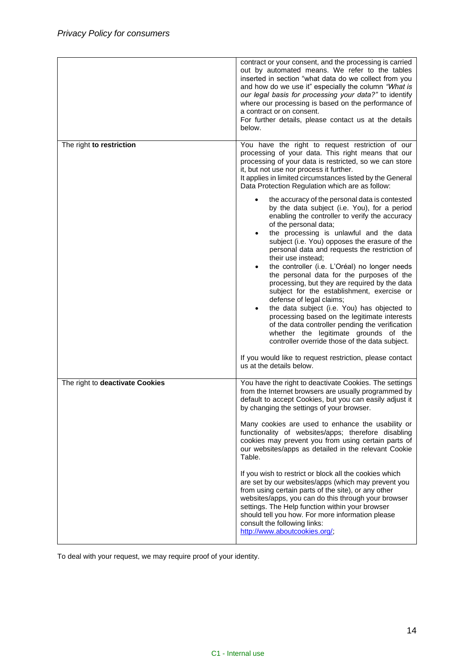|                                 | contract or your consent, and the processing is carried<br>out by automated means. We refer to the tables<br>inserted in section "what data do we collect from you<br>and how do we use it" especially the column "What is<br>our legal basis for processing your data?" to identify<br>where our processing is based on the performance of<br>a contract or on consent.<br>For further details, please contact us at the details<br>below.                                                                                                                                                                                                                                                                                                                                                                                                                                                                                                                                                                                                                                                                                                                                                                                                                                      |
|---------------------------------|----------------------------------------------------------------------------------------------------------------------------------------------------------------------------------------------------------------------------------------------------------------------------------------------------------------------------------------------------------------------------------------------------------------------------------------------------------------------------------------------------------------------------------------------------------------------------------------------------------------------------------------------------------------------------------------------------------------------------------------------------------------------------------------------------------------------------------------------------------------------------------------------------------------------------------------------------------------------------------------------------------------------------------------------------------------------------------------------------------------------------------------------------------------------------------------------------------------------------------------------------------------------------------|
| The right to restriction        | You have the right to request restriction of our<br>processing of your data. This right means that our<br>processing of your data is restricted, so we can store<br>it, but not use nor process it further.<br>It applies in limited circumstances listed by the General<br>Data Protection Regulation which are as follow:<br>the accuracy of the personal data is contested<br>$\bullet$<br>by the data subject (i.e. You), for a period<br>enabling the controller to verify the accuracy<br>of the personal data;<br>the processing is unlawful and the data<br>$\bullet$<br>subject (i.e. You) opposes the erasure of the<br>personal data and requests the restriction of<br>their use instead:<br>the controller (i.e. L'Oréal) no longer needs<br>$\bullet$<br>the personal data for the purposes of the<br>processing, but they are required by the data<br>subject for the establishment, exercise or<br>defense of legal claims;<br>the data subject (i.e. You) has objected to<br>processing based on the legitimate interests<br>of the data controller pending the verification<br>whether the legitimate grounds of the<br>controller override those of the data subject.<br>If you would like to request restriction, please contact<br>us at the details below. |
| The right to deactivate Cookies | You have the right to deactivate Cookies. The settings<br>from the Internet browsers are usually programmed by<br>default to accept Cookies, but you can easily adjust it                                                                                                                                                                                                                                                                                                                                                                                                                                                                                                                                                                                                                                                                                                                                                                                                                                                                                                                                                                                                                                                                                                        |
|                                 | by changing the settings of your browser.<br>Many cookies are used to enhance the usability or<br>functionality of websites/apps; therefore disabling<br>cookies may prevent you from using certain parts of<br>our websites/apps as detailed in the relevant Cookie<br>Table.<br>If you wish to restrict or block all the cookies which<br>are set by our websites/apps (which may prevent you<br>from using certain parts of the site), or any other<br>websites/apps, you can do this through your browser<br>settings. The Help function within your browser<br>should tell you how. For more information please<br>consult the following links:<br>http://www.aboutcookies.org/;                                                                                                                                                                                                                                                                                                                                                                                                                                                                                                                                                                                            |

To deal with your request, we may require proof of your identity.